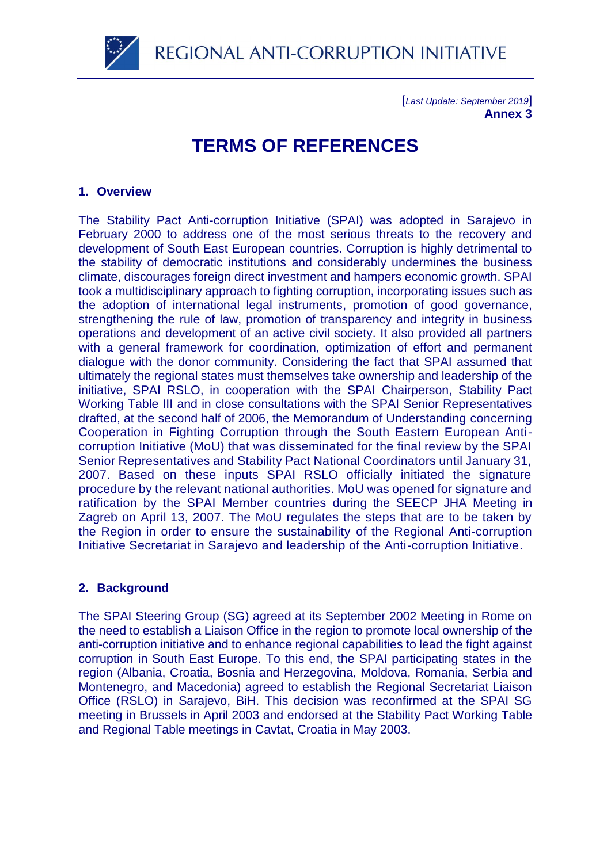REGIONAL ANTI-CORRUPTION INITIATIVE

[*Last Update: September 2019*] **Annex 3**

# **TERMS OF REFERENCES**

# **1. Overview**

The Stability Pact Anti-corruption Initiative (SPAI) was adopted in Sarajevo in February 2000 to address one of the most serious threats to the recovery and development of South East European countries. Corruption is highly detrimental to the stability of democratic institutions and considerably undermines the business climate, discourages foreign direct investment and hampers economic growth. SPAI took a multidisciplinary approach to fighting corruption, incorporating issues such as the adoption of international legal instruments, promotion of good governance, strengthening the rule of law, promotion of transparency and integrity in business operations and development of an active civil society. It also provided all partners with a general framework for coordination, optimization of effort and permanent dialogue with the donor community. Considering the fact that SPAI assumed that ultimately the regional states must themselves take ownership and leadership of the initiative, SPAI RSLO, in cooperation with the SPAI Chairperson, Stability Pact Working Table III and in close consultations with the SPAI Senior Representatives drafted, at the second half of 2006, the Memorandum of Understanding concerning Cooperation in Fighting Corruption through the South Eastern European Anticorruption Initiative (MoU) that was disseminated for the final review by the SPAI Senior Representatives and Stability Pact National Coordinators until January 31, 2007. Based on these inputs SPAI RSLO officially initiated the signature procedure by the relevant national authorities. MoU was opened for signature and ratification by the SPAI Member countries during the SEECP JHA Meeting in Zagreb on April 13, 2007. The MoU regulates the steps that are to be taken by the Region in order to ensure the sustainability of the Regional Anti-corruption Initiative Secretariat in Sarajevo and leadership of the Anti-corruption Initiative.

# **2. Background**

The SPAI Steering Group (SG) agreed at its September 2002 Meeting in Rome on the need to establish a Liaison Office in the region to promote local ownership of the anti-corruption initiative and to enhance regional capabilities to lead the fight against corruption in South East Europe. To this end, the SPAI participating states in the region (Albania, Croatia, Bosnia and Herzegovina, Moldova, Romania, Serbia and Montenegro, and Macedonia) agreed to establish the Regional Secretariat Liaison Office (RSLO) in Sarajevo, BiH. This decision was reconfirmed at the SPAI SG meeting in Brussels in April 2003 and endorsed at the Stability Pact Working Table and Regional Table meetings in Cavtat, Croatia in May 2003.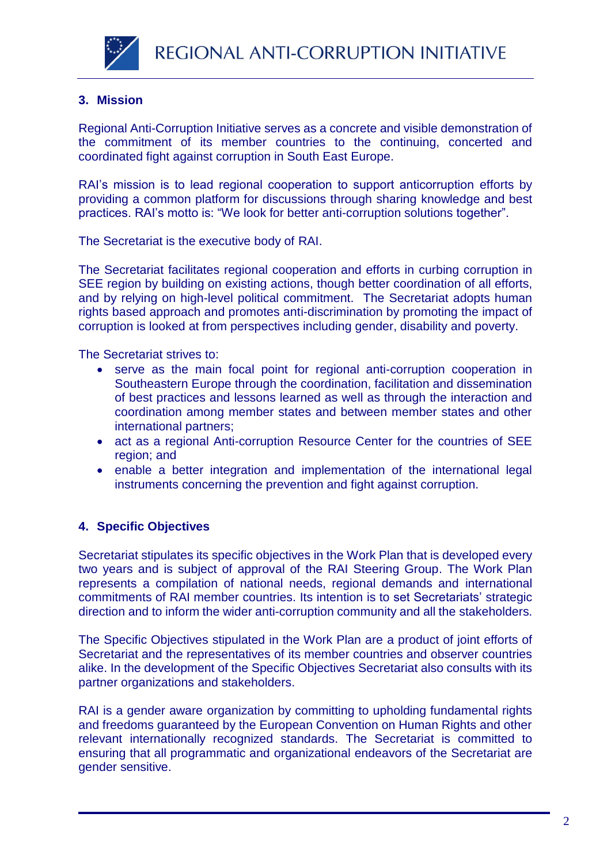

# **3. Mission**

Regional Anti-Corruption Initiative serves as a concrete and visible demonstration of the commitment of its member countries to the continuing, concerted and coordinated fight against corruption in South East Europe.

RAI's mission is to lead regional cooperation to support anticorruption efforts by providing a common platform for discussions through sharing knowledge and best practices. RAI's motto is: "We look for better anti-corruption solutions together".

The Secretariat is the executive body of RAI.

The Secretariat facilitates regional cooperation and efforts in curbing corruption in SEE region by building on existing actions, though better coordination of all efforts, and by relying on high-level political commitment. The Secretariat adopts human rights based approach and promotes anti-discrimination by promoting the impact of corruption is looked at from perspectives including gender, disability and poverty.

The Secretariat strives to:

- serve as the main focal point for regional anti-corruption cooperation in Southeastern Europe through the coordination, facilitation and dissemination of best practices and lessons learned as well as through the interaction and coordination among member states and between member states and other international partners;
- act as a regional Anti-corruption Resource Center for the countries of SEE region; and
- enable a better integration and implementation of the international legal instruments concerning the prevention and fight against corruption.

# **4. Specific Objectives**

Secretariat stipulates its specific objectives in the Work Plan that is developed every two years and is subject of approval of the RAI Steering Group. The Work Plan represents a compilation of national needs, regional demands and international commitments of RAI member countries. Its intention is to set Secretariats' strategic direction and to inform the wider anti-corruption community and all the stakeholders.

The Specific Objectives stipulated in the Work Plan are a product of joint efforts of Secretariat and the representatives of its member countries and observer countries alike. In the development of the Specific Objectives Secretariat also consults with its partner organizations and stakeholders.

RAI is a gender aware organization by committing to upholding fundamental rights and freedoms guaranteed by the European Convention on Human Rights and other relevant internationally recognized standards. The Secretariat is committed to ensuring that all programmatic and organizational endeavors of the Secretariat are gender sensitive.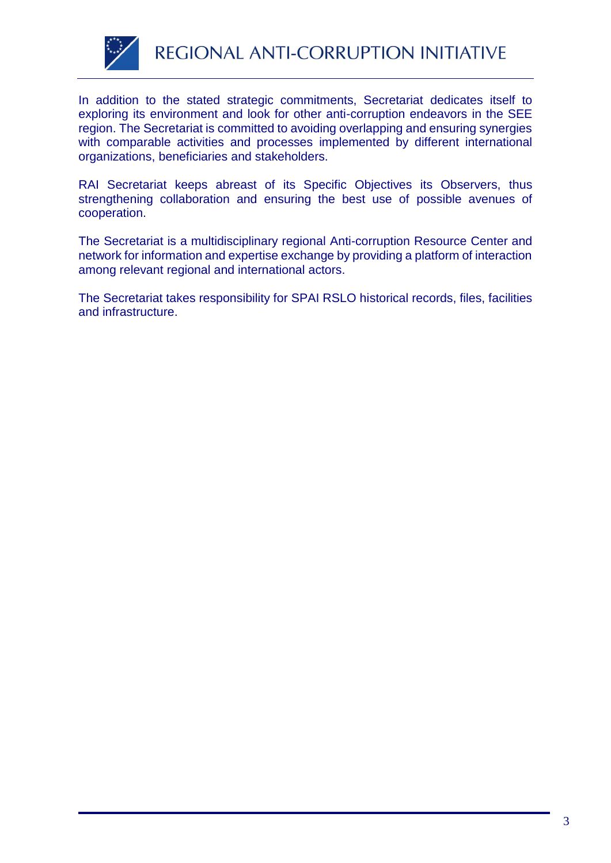

In addition to the stated strategic commitments, Secretariat dedicates itself to exploring its environment and look for other anti-corruption endeavors in the SEE region. The Secretariat is committed to avoiding overlapping and ensuring synergies with comparable activities and processes implemented by different international organizations, beneficiaries and stakeholders.

RAI Secretariat keeps abreast of its Specific Objectives its Observers, thus strengthening collaboration and ensuring the best use of possible avenues of cooperation.

The Secretariat is a multidisciplinary regional Anti-corruption Resource Center and network for information and expertise exchange by providing a platform of interaction among relevant regional and international actors.

The Secretariat takes responsibility for SPAI RSLO historical records, files, facilities and infrastructure.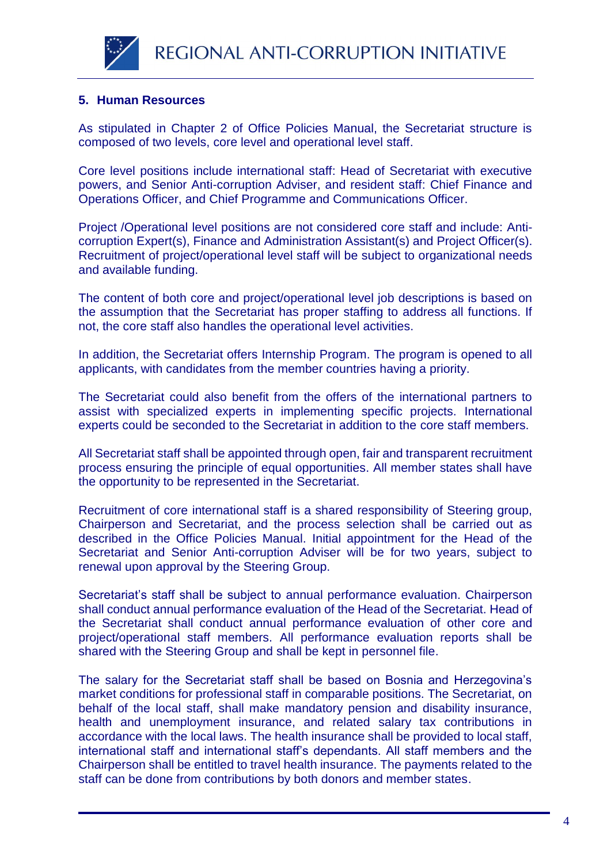



# **5. Human Resources**

As stipulated in Chapter 2 of Office Policies Manual, the Secretariat structure is composed of two levels, core level and operational level staff.

Core level positions include international staff: Head of Secretariat with executive powers, and Senior Anti-corruption Adviser, and resident staff: Chief Finance and Operations Officer, and Chief Programme and Communications Officer.

Project /Operational level positions are not considered core staff and include: Anticorruption Expert(s), Finance and Administration Assistant(s) and Project Officer(s). Recruitment of project/operational level staff will be subject to organizational needs and available funding.

The content of both core and project/operational level job descriptions is based on the assumption that the Secretariat has proper staffing to address all functions. If not, the core staff also handles the operational level activities.

In addition, the Secretariat offers Internship Program. The program is opened to all applicants, with candidates from the member countries having a priority.

The Secretariat could also benefit from the offers of the international partners to assist with specialized experts in implementing specific projects. International experts could be seconded to the Secretariat in addition to the core staff members.

All Secretariat staff shall be appointed through open, fair and transparent recruitment process ensuring the principle of equal opportunities. All member states shall have the opportunity to be represented in the Secretariat.

Recruitment of core international staff is a shared responsibility of Steering group, Chairperson and Secretariat, and the process selection shall be carried out as described in the Office Policies Manual. Initial appointment for the Head of the Secretariat and Senior Anti-corruption Adviser will be for two years, subject to renewal upon approval by the Steering Group.

Secretariat's staff shall be subject to annual performance evaluation. Chairperson shall conduct annual performance evaluation of the Head of the Secretariat. Head of the Secretariat shall conduct annual performance evaluation of other core and project/operational staff members. All performance evaluation reports shall be shared with the Steering Group and shall be kept in personnel file.

The salary for the Secretariat staff shall be based on Bosnia and Herzegovina's market conditions for professional staff in comparable positions. The Secretariat, on behalf of the local staff, shall make mandatory pension and disability insurance, health and unemployment insurance, and related salary tax contributions in accordance with the local laws. The health insurance shall be provided to local staff, international staff and international staff's dependants. All staff members and the Chairperson shall be entitled to travel health insurance. The payments related to the staff can be done from contributions by both donors and member states.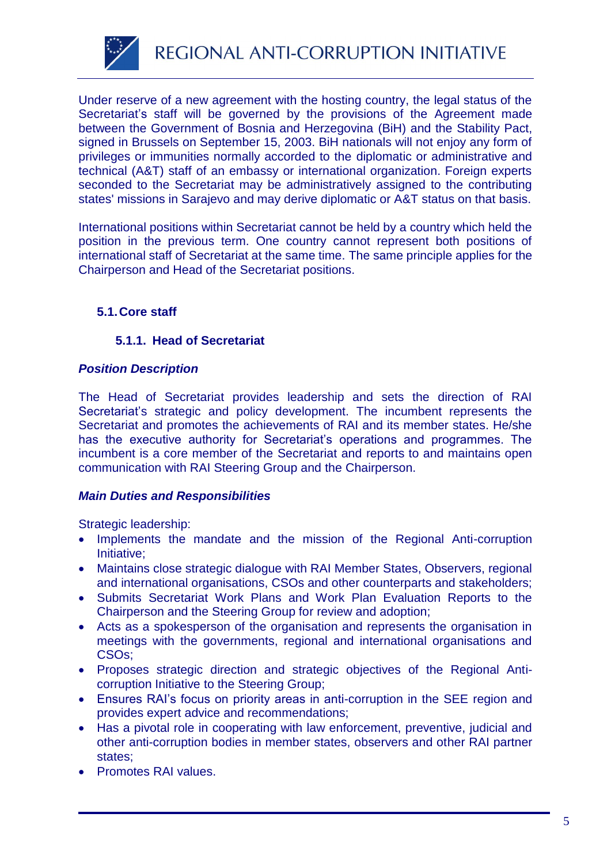

Under reserve of a new agreement with the hosting country, the legal status of the Secretariat's staff will be governed by the provisions of the Agreement made between the Government of Bosnia and Herzegovina (BiH) and the Stability Pact, signed in Brussels on September 15, 2003. BiH nationals will not enjoy any form of privileges or immunities normally accorded to the diplomatic or administrative and technical (A&T) staff of an embassy or international organization. Foreign experts seconded to the Secretariat may be administratively assigned to the contributing states' missions in Sarajevo and may derive diplomatic or A&T status on that basis.

International positions within Secretariat cannot be held by a country which held the position in the previous term. One country cannot represent both positions of international staff of Secretariat at the same time. The same principle applies for the Chairperson and Head of the Secretariat positions.

# **5.1.Core staff**

# **5.1.1. Head of Secretariat**

# *Position Description*

The Head of Secretariat provides leadership and sets the direction of RAI Secretariat's strategic and policy development. The incumbent represents the Secretariat and promotes the achievements of RAI and its member states. He/she has the executive authority for Secretariat's operations and programmes. The incumbent is a core member of the Secretariat and reports to and maintains open communication with RAI Steering Group and the Chairperson.

# *Main Duties and Responsibilities*

Strategic leadership:

- Implements the mandate and the mission of the Regional Anti-corruption Initiative;
- Maintains close strategic dialogue with RAI Member States, Observers, regional and international organisations, CSOs and other counterparts and stakeholders;
- Submits Secretariat Work Plans and Work Plan Evaluation Reports to the Chairperson and the Steering Group for review and adoption;
- Acts as a spokesperson of the organisation and represents the organisation in meetings with the governments, regional and international organisations and CSOs;
- Proposes strategic direction and strategic objectives of the Regional Anticorruption Initiative to the Steering Group;
- Ensures RAI's focus on priority areas in anti-corruption in the SEE region and provides expert advice and recommendations;
- Has a pivotal role in cooperating with law enforcement, preventive, judicial and other anti-corruption bodies in member states, observers and other RAI partner states;
- Promotes RAI values.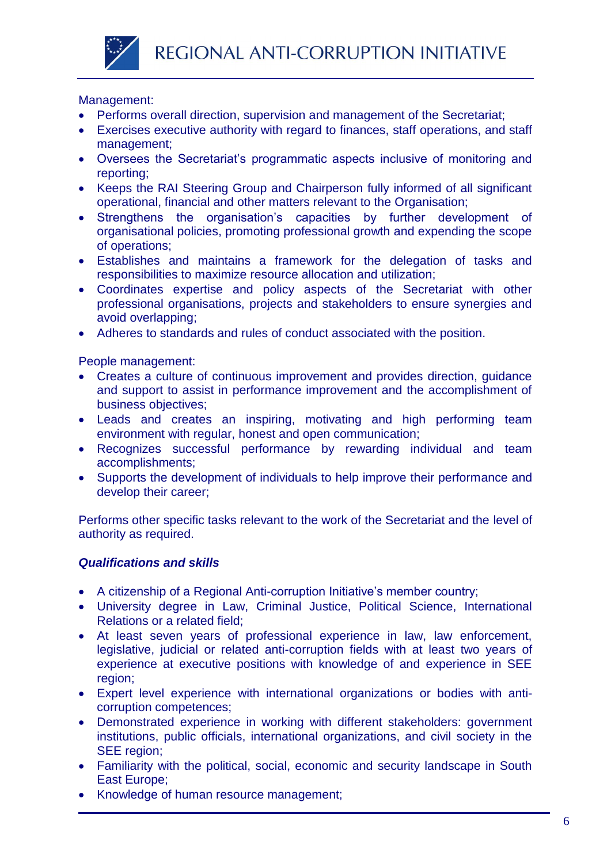

# Management:

- Performs overall direction, supervision and management of the Secretariat;
- Exercises executive authority with regard to finances, staff operations, and staff management;
- Oversees the Secretariat's programmatic aspects inclusive of monitoring and reporting;
- Keeps the RAI Steering Group and Chairperson fully informed of all significant operational, financial and other matters relevant to the Organisation;
- Strengthens the organisation's capacities by further development of organisational policies, promoting professional growth and expending the scope of operations;
- Establishes and maintains a framework for the delegation of tasks and responsibilities to maximize resource allocation and utilization;
- Coordinates expertise and policy aspects of the Secretariat with other professional organisations, projects and stakeholders to ensure synergies and avoid overlapping;
- Adheres to standards and rules of conduct associated with the position.

People management:

- Creates a culture of continuous improvement and provides direction, quidance and support to assist in performance improvement and the accomplishment of business objectives;
- Leads and creates an inspiring, motivating and high performing team environment with regular, honest and open communication;
- Recognizes successful performance by rewarding individual and team accomplishments;
- Supports the development of individuals to help improve their performance and develop their career;

Performs other specific tasks relevant to the work of the Secretariat and the level of authority as required.

- A citizenship of a Regional Anti-corruption Initiative's member country;
- University degree in Law, Criminal Justice, Political Science, International Relations or a related field;
- At least seven years of professional experience in law, law enforcement, legislative, judicial or related anti-corruption fields with at least two years of experience at executive positions with knowledge of and experience in SEE region;
- Expert level experience with international organizations or bodies with anticorruption competences;
- Demonstrated experience in working with different stakeholders: government institutions, public officials, international organizations, and civil society in the SEE region:
- Familiarity with the political, social, economic and security landscape in South East Europe;
- Knowledge of human resource management;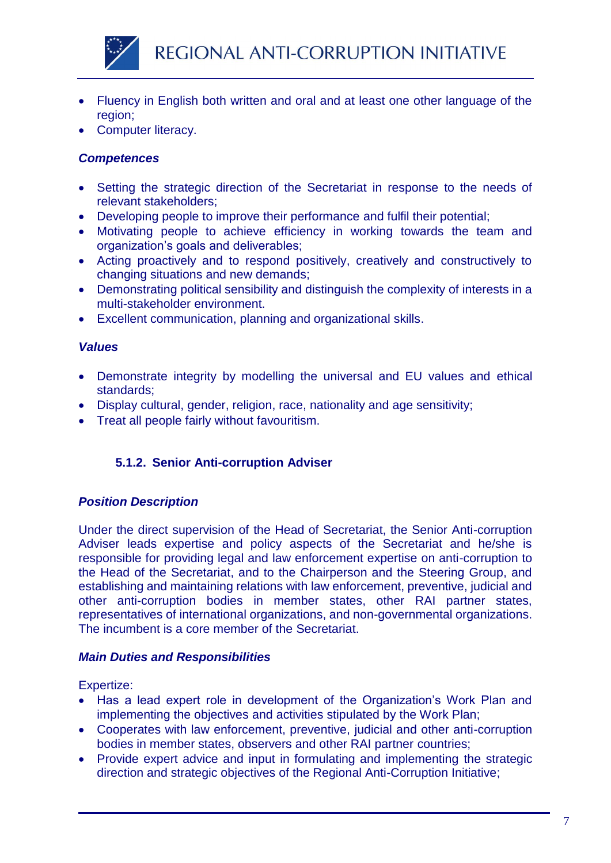

- Fluency in English both written and oral and at least one other language of the region;
- Computer literacy.

- Setting the strategic direction of the Secretariat in response to the needs of relevant stakeholders;
- Developing people to improve their performance and fulfil their potential;
- Motivating people to achieve efficiency in working towards the team and organization's goals and deliverables;
- Acting proactively and to respond positively, creatively and constructively to changing situations and new demands;
- Demonstrating political sensibility and distinguish the complexity of interests in a multi-stakeholder environment.
- Excellent communication, planning and organizational skills.

# *Values*

- Demonstrate integrity by modelling the universal and EU values and ethical standards;
- Display cultural, gender, religion, race, nationality and age sensitivity;
- Treat all people fairly without favouritism.

# **5.1.2. Senior Anti-corruption Adviser**

# *Position Description*

Under the direct supervision of the Head of Secretariat, the Senior Anti-corruption Adviser leads expertise and policy aspects of the Secretariat and he/she is responsible for providing legal and law enforcement expertise on anti-corruption to the Head of the Secretariat, and to the Chairperson and the Steering Group, and establishing and maintaining relations with law enforcement, preventive, judicial and other anti-corruption bodies in member states, other RAI partner states, representatives of international organizations, and non-governmental organizations. The incumbent is a core member of the Secretariat.

# *Main Duties and Responsibilities*

Expertize:

- Has a lead expert role in development of the Organization's Work Plan and implementing the objectives and activities stipulated by the Work Plan;
- Cooperates with law enforcement, preventive, judicial and other anti-corruption bodies in member states, observers and other RAI partner countries;
- Provide expert advice and input in formulating and implementing the strategic direction and strategic objectives of the Regional Anti-Corruption Initiative;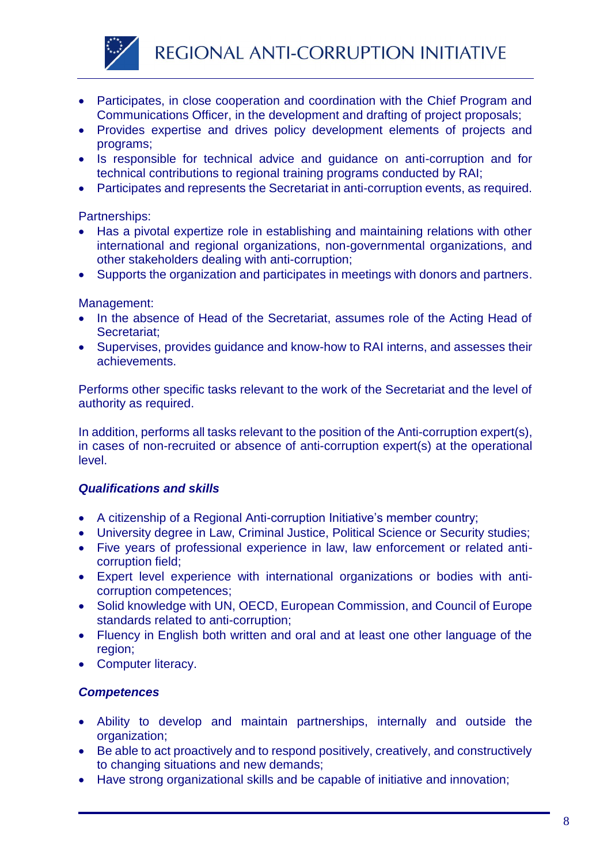

- Participates, in close cooperation and coordination with the Chief Program and Communications Officer, in the development and drafting of project proposals;
- Provides expertise and drives policy development elements of projects and programs;
- Is responsible for technical advice and guidance on anti-corruption and for technical contributions to regional training programs conducted by RAI;
- Participates and represents the Secretariat in anti-corruption events, as required.

# Partnerships:

- Has a pivotal expertize role in establishing and maintaining relations with other international and regional organizations, non-governmental organizations, and other stakeholders dealing with anti-corruption;
- Supports the organization and participates in meetings with donors and partners.

# Management:

- In the absence of Head of the Secretariat, assumes role of the Acting Head of Secretariat;
- Supervises, provides guidance and know-how to RAI interns, and assesses their achievements.

Performs other specific tasks relevant to the work of the Secretariat and the level of authority as required.

In addition, performs all tasks relevant to the position of the Anti-corruption expert(s), in cases of non-recruited or absence of anti-corruption expert(s) at the operational level.

# *Qualifications and skills*

- A citizenship of a Regional Anti-corruption Initiative's member country;
- University degree in Law, Criminal Justice, Political Science or Security studies;
- Five years of professional experience in law, law enforcement or related anticorruption field;
- Expert level experience with international organizations or bodies with anticorruption competences;
- Solid knowledge with UN, OECD, European Commission, and Council of Europe standards related to anti-corruption;
- Fluency in English both written and oral and at least one other language of the region;
- Computer literacy.

# *Competences*

- Ability to develop and maintain partnerships, internally and outside the organization;
- Be able to act proactively and to respond positively, creatively, and constructively to changing situations and new demands;
- Have strong organizational skills and be capable of initiative and innovation;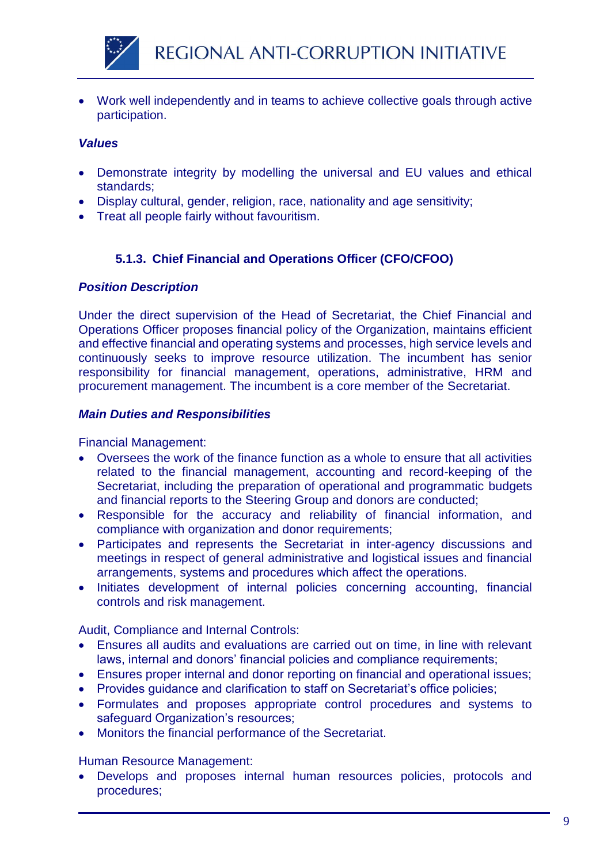

 Work well independently and in teams to achieve collective goals through active participation.

# *Values*

- Demonstrate integrity by modelling the universal and EU values and ethical standards;
- Display cultural, gender, religion, race, nationality and age sensitivity;
- Treat all people fairly without favouritism.

# **5.1.3. Chief Financial and Operations Officer (CFO/CFOO)**

#### *Position Description*

Under the direct supervision of the Head of Secretariat, the Chief Financial and Operations Officer proposes financial policy of the Organization, maintains efficient and effective financial and operating systems and processes, high service levels and continuously seeks to improve resource utilization. The incumbent has senior responsibility for financial management, operations, administrative, HRM and procurement management. The incumbent is a core member of the Secretariat.

#### *Main Duties and Responsibilities*

Financial Management:

- Oversees the work of the finance function as a whole to ensure that all activities related to the financial management, accounting and record-keeping of the Secretariat, including the preparation of operational and programmatic budgets and financial reports to the Steering Group and donors are conducted;
- Responsible for the accuracy and reliability of financial information, and compliance with organization and donor requirements;
- Participates and represents the Secretariat in inter-agency discussions and meetings in respect of general administrative and logistical issues and financial arrangements, systems and procedures which affect the operations.
- Initiates development of internal policies concerning accounting, financial controls and risk management.

Audit, Compliance and Internal Controls:

- Ensures all audits and evaluations are carried out on time, in line with relevant laws, internal and donors' financial policies and compliance requirements;
- Ensures proper internal and donor reporting on financial and operational issues;
- Provides guidance and clarification to staff on Secretariat's office policies;
- Formulates and proposes appropriate control procedures and systems to safeguard Organization's resources;
- Monitors the financial performance of the Secretariat.

Human Resource Management:

 Develops and proposes internal human resources policies, protocols and procedures;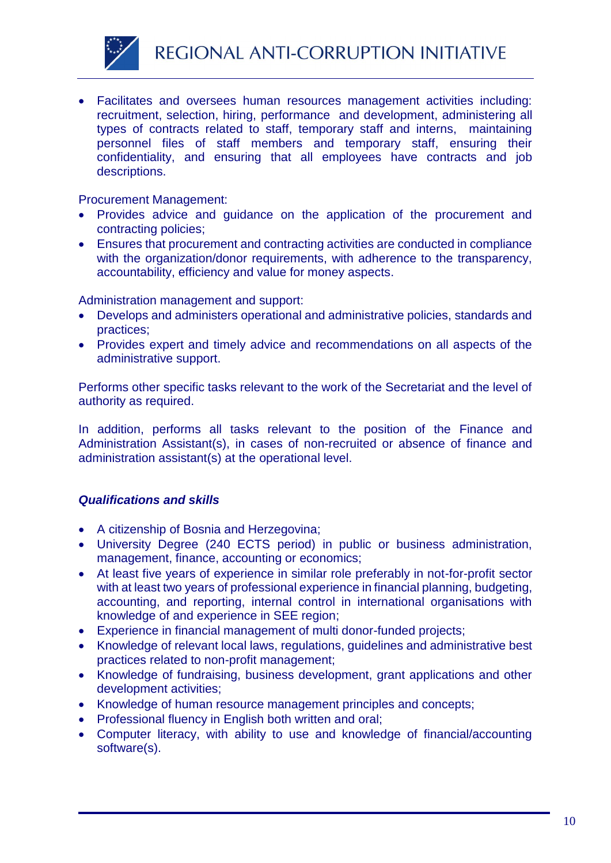

 Facilitates and oversees human resources management activities including: recruitment, selection, hiring, performance and development, administering all types of contracts related to staff, temporary staff and interns, maintaining personnel files of staff members and temporary staff, ensuring their confidentiality, and ensuring that all employees have contracts and job descriptions.

Procurement Management:

- Provides advice and guidance on the application of the procurement and contracting policies;
- Ensures that procurement and contracting activities are conducted in compliance with the organization/donor requirements, with adherence to the transparency, accountability, efficiency and value for money aspects.

Administration management and support:

- Develops and administers operational and administrative policies, standards and practices;
- Provides expert and timely advice and recommendations on all aspects of the administrative support.

Performs other specific tasks relevant to the work of the Secretariat and the level of authority as required.

In addition, performs all tasks relevant to the position of the Finance and Administration Assistant(s), in cases of non-recruited or absence of finance and administration assistant(s) at the operational level.

- A citizenship of Bosnia and Herzegovina;
- University Degree (240 ECTS period) in public or business administration, management, finance, accounting or economics;
- At least five years of experience in similar role preferably in not-for-profit sector with at least two years of professional experience in financial planning, budgeting, accounting, and reporting, internal control in international organisations with knowledge of and experience in SEE region;
- Experience in financial management of multi donor-funded projects;
- Knowledge of relevant local laws, regulations, guidelines and administrative best practices related to non-profit management;
- Knowledge of fundraising, business development, grant applications and other development activities;
- Knowledge of human resource management principles and concepts;
- Professional fluency in English both written and oral;
- Computer literacy, with ability to use and knowledge of financial/accounting software(s).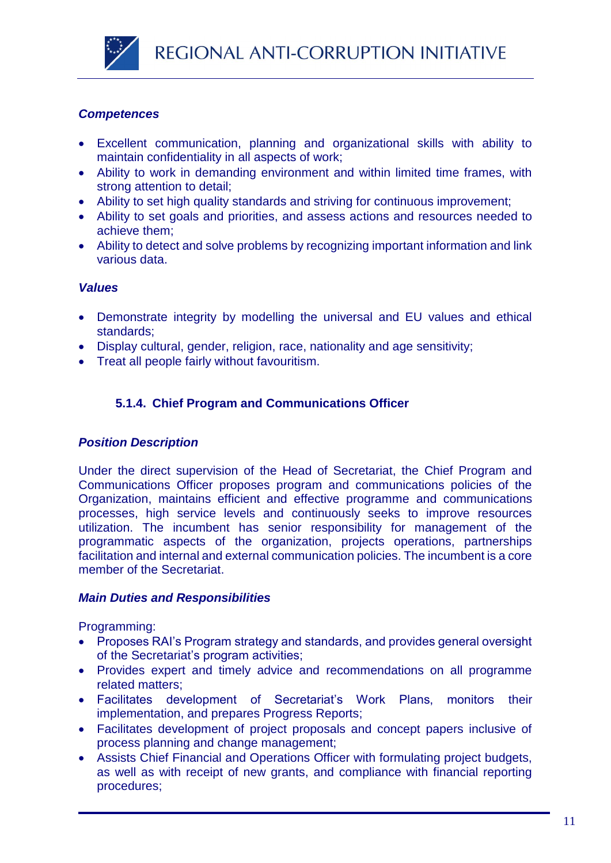

- Excellent communication, planning and organizational skills with ability to maintain confidentiality in all aspects of work;
- Ability to work in demanding environment and within limited time frames, with strong attention to detail;
- Ability to set high quality standards and striving for continuous improvement;
- Ability to set goals and priorities, and assess actions and resources needed to achieve them;
- Ability to detect and solve problems by recognizing important information and link various data.

# *Values*

- Demonstrate integrity by modelling the universal and EU values and ethical standards;
- Display cultural, gender, religion, race, nationality and age sensitivity;
- Treat all people fairly without favouritism.

# **5.1.4. Chief Program and Communications Officer**

# *Position Description*

Under the direct supervision of the Head of Secretariat, the Chief Program and Communications Officer proposes program and communications policies of the Organization, maintains efficient and effective programme and communications processes, high service levels and continuously seeks to improve resources utilization. The incumbent has senior responsibility for management of the programmatic aspects of the organization, projects operations, partnerships facilitation and internal and external communication policies. The incumbent is a core member of the Secretariat.

# *Main Duties and Responsibilities*

Programming:

- Proposes RAI's Program strategy and standards, and provides general oversight of the Secretariat's program activities;
- Provides expert and timely advice and recommendations on all programme related matters;
- Facilitates development of Secretariat's Work Plans, monitors their implementation, and prepares Progress Reports;
- Facilitates development of project proposals and concept papers inclusive of process planning and change management;
- Assists Chief Financial and Operations Officer with formulating project budgets, as well as with receipt of new grants, and compliance with financial reporting procedures;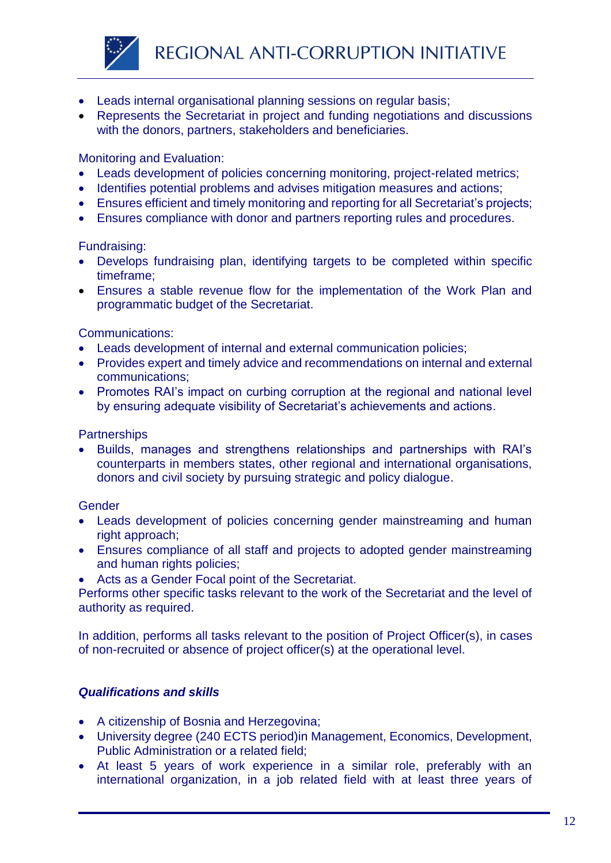

- Leads internal organisational planning sessions on regular basis;
- Represents the Secretariat in project and funding negotiations and discussions with the donors, partners, stakeholders and beneficiaries.

# Monitoring and Evaluation:

- Leads development of policies concerning monitoring, project-related metrics;
- Identifies potential problems and advises mitigation measures and actions;
- Ensures efficient and timely monitoring and reporting for all Secretariat's projects;
- Ensures compliance with donor and partners reporting rules and procedures.

#### Fundraising:

- Develops fundraising plan, identifying targets to be completed within specific timeframe;
- Ensures a stable revenue flow for the implementation of the Work Plan and programmatic budget of the Secretariat.

#### Communications:

- Leads development of internal and external communication policies;
- Provides expert and timely advice and recommendations on internal and external communications;
- Promotes RAI's impact on curbing corruption at the regional and national level by ensuring adequate visibility of Secretariat's achievements and actions.

#### **Partnerships**

 Builds, manages and strengthens relationships and partnerships with RAI's counterparts in members states, other regional and international organisations, donors and civil society by pursuing strategic and policy dialogue.

#### **Gender**

- Leads development of policies concerning gender mainstreaming and human right approach;
- Ensures compliance of all staff and projects to adopted gender mainstreaming and human rights policies;
- Acts as a Gender Focal point of the Secretariat.

Performs other specific tasks relevant to the work of the Secretariat and the level of authority as required.

In addition, performs all tasks relevant to the position of Project Officer(s), in cases of non-recruited or absence of project officer(s) at the operational level.

- A citizenship of Bosnia and Herzegovina;
- University degree (240 ECTS period)in Management, Economics, Development, Public Administration or a related field;
- At least 5 years of work experience in a similar role, preferably with an international organization, in a job related field with at least three years of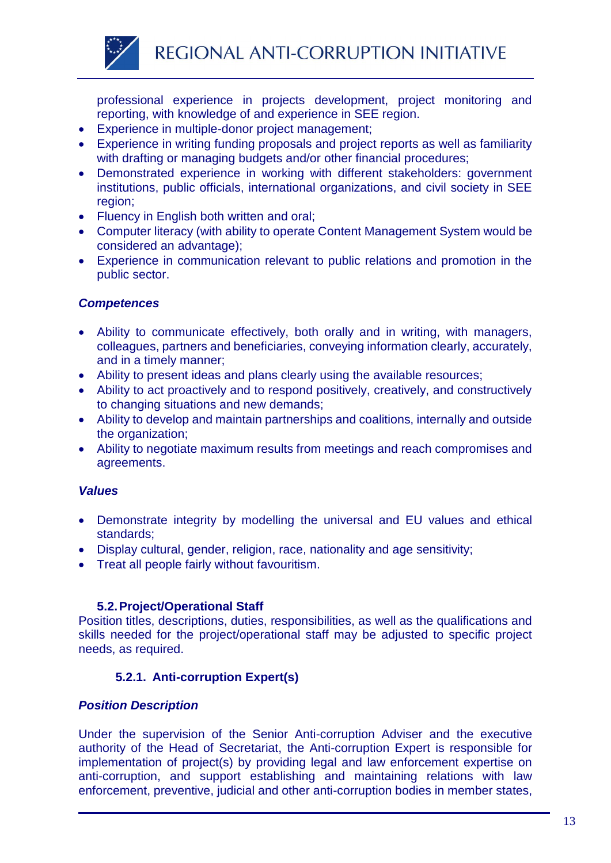

professional experience in projects development, project monitoring and reporting, with knowledge of and experience in SEE region.

- Experience in multiple-donor project management;
- Experience in writing funding proposals and project reports as well as familiarity with drafting or managing budgets and/or other financial procedures;
- Demonstrated experience in working with different stakeholders: government institutions, public officials, international organizations, and civil society in SEE region;
- Fluency in English both written and oral;
- Computer literacy (with ability to operate Content Management System would be considered an advantage);
- Experience in communication relevant to public relations and promotion in the public sector.

# *Competences*

- Ability to communicate effectively, both orally and in writing, with managers, colleagues, partners and beneficiaries, conveying information clearly, accurately, and in a timely manner;
- Ability to present ideas and plans clearly using the available resources;
- Ability to act proactively and to respond positively, creatively, and constructively to changing situations and new demands;
- Ability to develop and maintain partnerships and coalitions, internally and outside the organization;
- Ability to negotiate maximum results from meetings and reach compromises and agreements.

# *Values*

- Demonstrate integrity by modelling the universal and EU values and ethical standards;
- Display cultural, gender, religion, race, nationality and age sensitivity;
- Treat all people fairly without favouritism.

# **5.2.Project/Operational Staff**

Position titles, descriptions, duties, responsibilities, as well as the qualifications and skills needed for the project/operational staff may be adjusted to specific project needs, as required.

# **5.2.1. Anti-corruption Expert(s)**

# *Position Description*

Under the supervision of the Senior Anti-corruption Adviser and the executive authority of the Head of Secretariat, the Anti-corruption Expert is responsible for implementation of project(s) by providing legal and law enforcement expertise on anti-corruption, and support establishing and maintaining relations with law enforcement, preventive, judicial and other anti-corruption bodies in member states,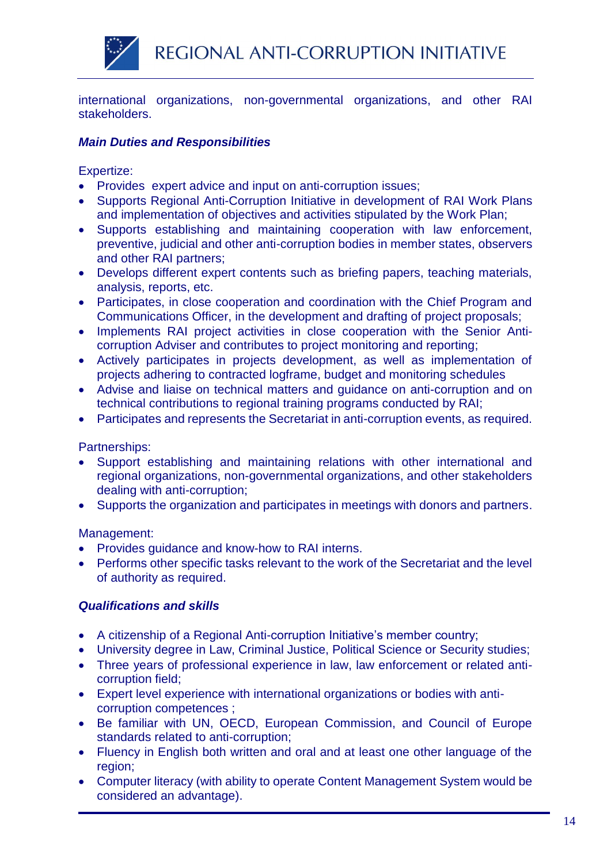

international organizations, non-governmental organizations, and other RAI stakeholders.

# *Main Duties and Responsibilities*

Expertize:

- Provides expert advice and input on anti-corruption issues;
- Supports Regional Anti-Corruption Initiative in development of RAI Work Plans and implementation of objectives and activities stipulated by the Work Plan;
- Supports establishing and maintaining cooperation with law enforcement, preventive, judicial and other anti-corruption bodies in member states, observers and other RAI partners;
- Develops different expert contents such as briefing papers, teaching materials, analysis, reports, etc.
- Participates, in close cooperation and coordination with the Chief Program and Communications Officer, in the development and drafting of project proposals;
- Implements RAI project activities in close cooperation with the Senior Anticorruption Adviser and contributes to project monitoring and reporting;
- Actively participates in projects development, as well as implementation of projects adhering to contracted logframe, budget and monitoring schedules
- Advise and liaise on technical matters and guidance on anti-corruption and on technical contributions to regional training programs conducted by RAI;
- Participates and represents the Secretariat in anti-corruption events, as required.

Partnerships:

- Support establishing and maintaining relations with other international and regional organizations, non-governmental organizations, and other stakeholders dealing with anti-corruption;
- Supports the organization and participates in meetings with donors and partners.

Management:

- Provides guidance and know-how to RAI interns.
- Performs other specific tasks relevant to the work of the Secretariat and the level of authority as required.

- A citizenship of a Regional Anti-corruption Initiative's member country;
- University degree in Law, Criminal Justice, Political Science or Security studies;
- Three years of professional experience in law, law enforcement or related anticorruption field;
- Expert level experience with international organizations or bodies with anticorruption competences ;
- Be familiar with UN, OECD, European Commission, and Council of Europe standards related to anti-corruption;
- Fluency in English both written and oral and at least one other language of the region;
- Computer literacy (with ability to operate Content Management System would be considered an advantage).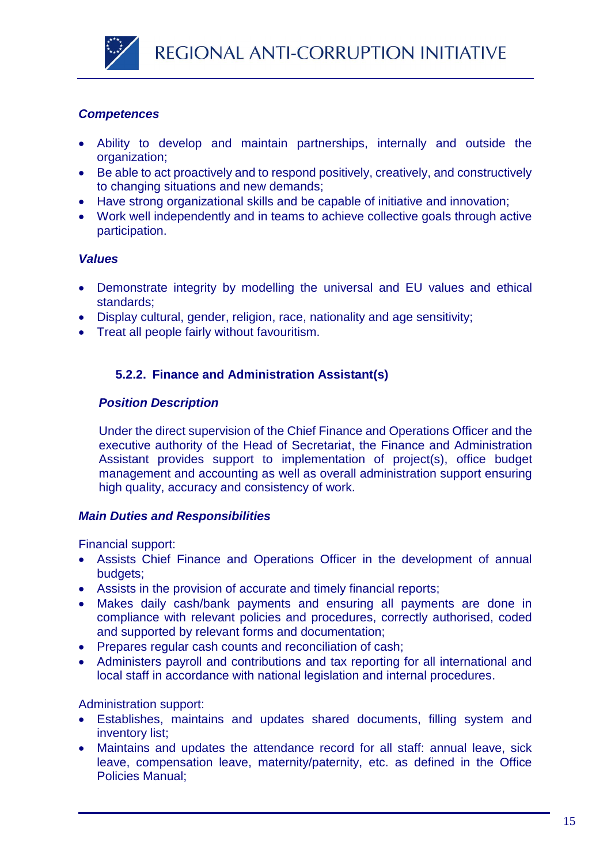

- Ability to develop and maintain partnerships, internally and outside the organization;
- Be able to act proactively and to respond positively, creatively, and constructively to changing situations and new demands;
- Have strong organizational skills and be capable of initiative and innovation;
- Work well independently and in teams to achieve collective goals through active participation.

# *Values*

- Demonstrate integrity by modelling the universal and EU values and ethical standards;
- Display cultural, gender, religion, race, nationality and age sensitivity;
- Treat all people fairly without favouritism.

# **5.2.2. Finance and Administration Assistant(s)**

#### *Position Description*

Under the direct supervision of the Chief Finance and Operations Officer and the executive authority of the Head of Secretariat, the Finance and Administration Assistant provides support to implementation of project(s), office budget management and accounting as well as overall administration support ensuring high quality, accuracy and consistency of work.

# *Main Duties and Responsibilities*

Financial support:

- Assists Chief Finance and Operations Officer in the development of annual budgets;
- Assists in the provision of accurate and timely financial reports;
- Makes daily cash/bank payments and ensuring all payments are done in compliance with relevant policies and procedures, correctly authorised, coded and supported by relevant forms and documentation;
- Prepares regular cash counts and reconciliation of cash;
- Administers payroll and contributions and tax reporting for all international and local staff in accordance with national legislation and internal procedures.

Administration support:

- Establishes, maintains and updates shared documents, filling system and inventory list;
- Maintains and updates the attendance record for all staff: annual leave, sick leave, compensation leave, maternity/paternity, etc. as defined in the Office Policies Manual;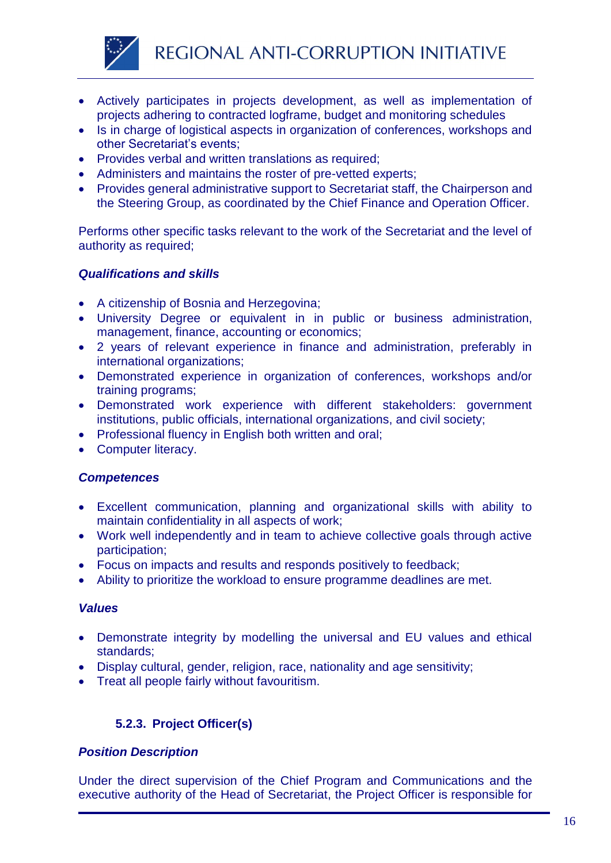

- Actively participates in projects development, as well as implementation of projects adhering to contracted logframe, budget and monitoring schedules
- Is in charge of logistical aspects in organization of conferences, workshops and other Secretariat's events;
- Provides verbal and written translations as required;
- Administers and maintains the roster of pre-vetted experts;
- Provides general administrative support to Secretariat staff, the Chairperson and the Steering Group, as coordinated by the Chief Finance and Operation Officer.

Performs other specific tasks relevant to the work of the Secretariat and the level of authority as required;

# *Qualifications and skills*

- A citizenship of Bosnia and Herzegovina;
- University Degree or equivalent in in public or business administration, management, finance, accounting or economics;
- 2 years of relevant experience in finance and administration, preferably in international organizations;
- Demonstrated experience in organization of conferences, workshops and/or training programs;
- Demonstrated work experience with different stakeholders: government institutions, public officials, international organizations, and civil society;
- Professional fluency in English both written and oral;
- Computer literacy.

# *Competences*

- Excellent communication, planning and organizational skills with ability to maintain confidentiality in all aspects of work;
- Work well independently and in team to achieve collective goals through active participation;
- Focus on impacts and results and responds positively to feedback;
- Ability to prioritize the workload to ensure programme deadlines are met.

#### *Values*

- Demonstrate integrity by modelling the universal and EU values and ethical standards;
- Display cultural, gender, religion, race, nationality and age sensitivity;
- Treat all people fairly without favouritism.

# **5.2.3. Project Officer(s)**

# *Position Description*

Under the direct supervision of the Chief Program and Communications and the executive authority of the Head of Secretariat, the Project Officer is responsible for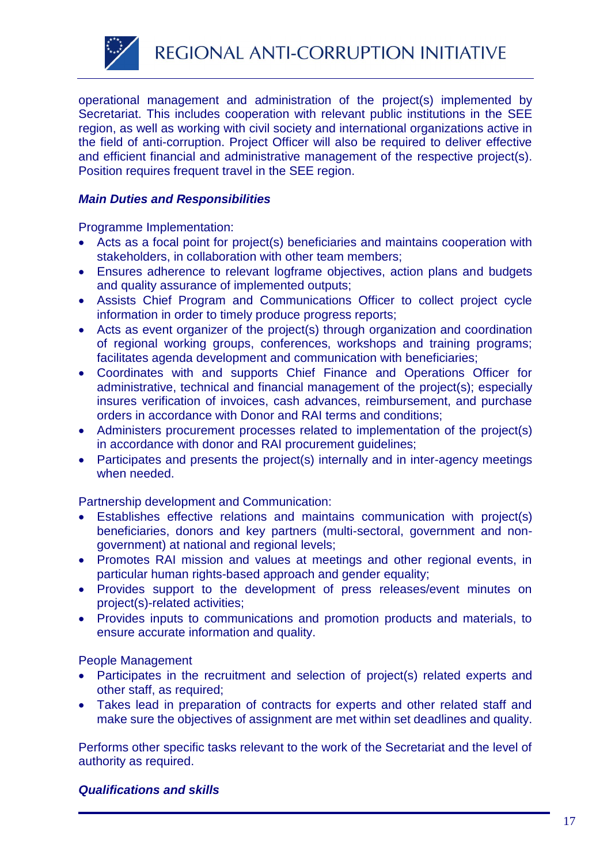

operational management and administration of the project(s) implemented by Secretariat. This includes cooperation with relevant public institutions in the SEE region, as well as working with civil society and international organizations active in the field of anti-corruption. Project Officer will also be required to deliver effective and efficient financial and administrative management of the respective project(s). Position requires frequent travel in the SEE region.

# *Main Duties and Responsibilities*

Programme Implementation:

- Acts as a focal point for project(s) beneficiaries and maintains cooperation with stakeholders, in collaboration with other team members;
- Ensures adherence to relevant logframe objectives, action plans and budgets and quality assurance of implemented outputs;
- Assists Chief Program and Communications Officer to collect project cycle information in order to timely produce progress reports;
- Acts as event organizer of the project(s) through organization and coordination of regional working groups, conferences, workshops and training programs; facilitates agenda development and communication with beneficiaries;
- Coordinates with and supports Chief Finance and Operations Officer for administrative, technical and financial management of the project(s); especially insures verification of invoices, cash advances, reimbursement, and purchase orders in accordance with Donor and RAI terms and conditions;
- Administers procurement processes related to implementation of the project(s) in accordance with donor and RAI procurement guidelines;
- Participates and presents the project(s) internally and in inter-agency meetings when needed.

Partnership development and Communication:

- Establishes effective relations and maintains communication with project(s) beneficiaries, donors and key partners (multi-sectoral, government and nongovernment) at national and regional levels;
- Promotes RAI mission and values at meetings and other regional events, in particular human rights-based approach and gender equality;
- Provides support to the development of press releases/event minutes on project(s)-related activities;
- Provides inputs to communications and promotion products and materials, to ensure accurate information and quality.

People Management

- Participates in the recruitment and selection of project(s) related experts and other staff, as required;
- Takes lead in preparation of contracts for experts and other related staff and make sure the objectives of assignment are met within set deadlines and quality.

Performs other specific tasks relevant to the work of the Secretariat and the level of authority as required.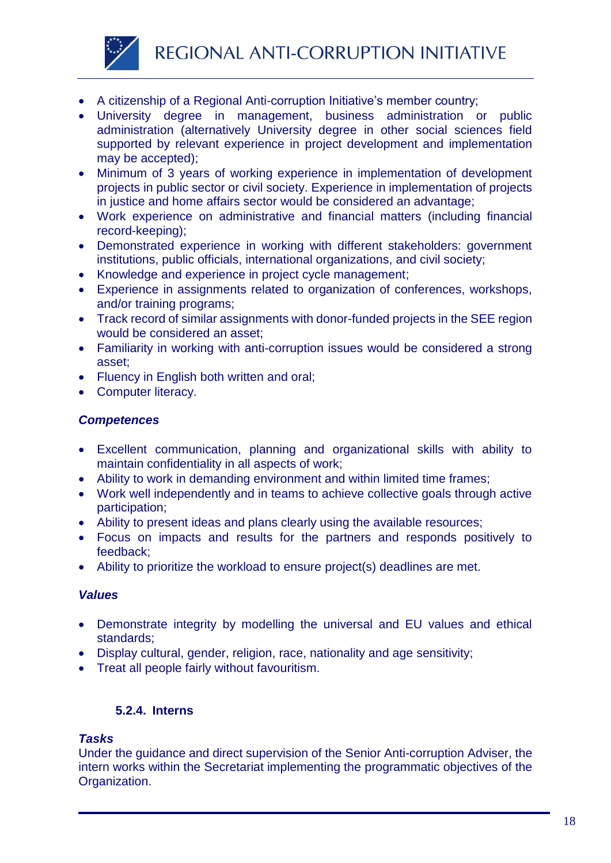

- A citizenship of a Regional Anti-corruption Initiative's member country;
- University degree in management, business administration or public administration (alternatively University degree in other social sciences field supported by relevant experience in project development and implementation may be accepted);
- Minimum of 3 years of working experience in implementation of development projects in public sector or civil society. Experience in implementation of projects in justice and home affairs sector would be considered an advantage;
- Work experience on administrative and financial matters (including financial record-keeping);
- Demonstrated experience in working with different stakeholders: government institutions, public officials, international organizations, and civil society;
- Knowledge and experience in project cycle management;
- Experience in assignments related to organization of conferences, workshops, and/or training programs;
- Track record of similar assignments with donor-funded projects in the SEE region would be considered an asset;
- Familiarity in working with anti-corruption issues would be considered a strong asset;
- Fluency in English both written and oral;
- Computer literacy.

- Excellent communication, planning and organizational skills with ability to maintain confidentiality in all aspects of work;
- Ability to work in demanding environment and within limited time frames;
- Work well independently and in teams to achieve collective goals through active participation;
- Ability to present ideas and plans clearly using the available resources;
- Focus on impacts and results for the partners and responds positively to feedback;
- Ability to prioritize the workload to ensure project(s) deadlines are met.

# *Values*

- Demonstrate integrity by modelling the universal and EU values and ethical standards;
- Display cultural, gender, religion, race, nationality and age sensitivity;
- Treat all people fairly without favouritism.

# **5.2.4. Interns**

# *Tasks*

Under the guidance and direct supervision of the Senior Anti-corruption Adviser, the intern works within the Secretariat implementing the programmatic objectives of the Organization.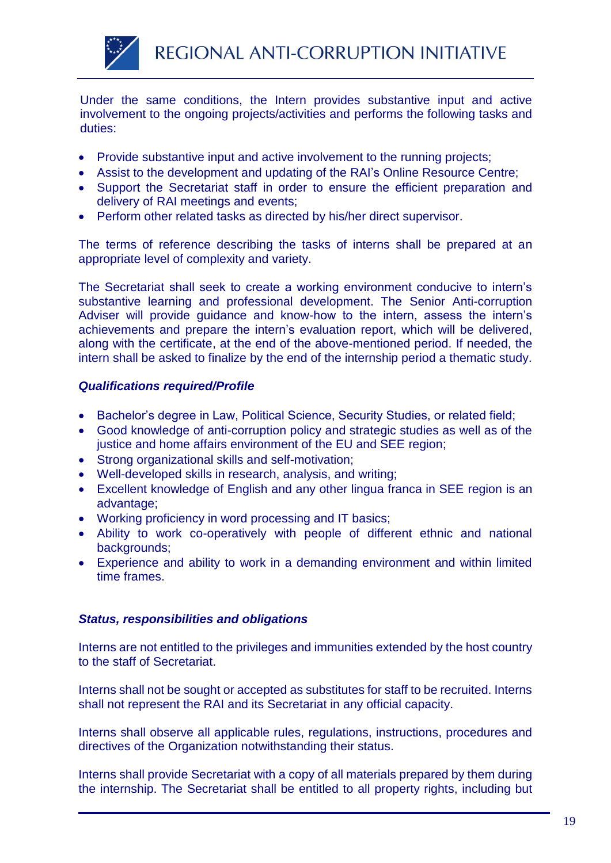

Under the same conditions, the Intern provides substantive input and active involvement to the ongoing projects/activities and performs the following tasks and duties:

- Provide substantive input and active involvement to the running projects;
- Assist to the development and updating of the RAI's Online Resource Centre;
- Support the Secretariat staff in order to ensure the efficient preparation and delivery of RAI meetings and events;
- Perform other related tasks as directed by his/her direct supervisor.

The terms of reference describing the tasks of interns shall be prepared at an appropriate level of complexity and variety.

The Secretariat shall seek to create a working environment conducive to intern's substantive learning and professional development. The Senior Anti-corruption Adviser will provide guidance and know-how to the intern, assess the intern's achievements and prepare the intern's evaluation report, which will be delivered, along with the certificate, at the end of the above-mentioned period. If needed, the intern shall be asked to finalize by the end of the internship period a thematic study.

# *Qualifications required/Profile*

- Bachelor's degree in Law, Political Science, Security Studies, or related field;
- Good knowledge of anti-corruption policy and strategic studies as well as of the justice and home affairs environment of the EU and SEE region;
- Strong organizational skills and self-motivation;
- Well-developed skills in research, analysis, and writing;
- Excellent knowledge of English and any other lingua franca in SEE region is an advantage;
- Working proficiency in word processing and IT basics;
- Ability to work co-operatively with people of different ethnic and national backgrounds;
- Experience and ability to work in a demanding environment and within limited time frames.

# *Status, responsibilities and obligations*

Interns are not entitled to the privileges and immunities extended by the host country to the staff of Secretariat.

Interns shall not be sought or accepted as substitutes for staff to be recruited. Interns shall not represent the RAI and its Secretariat in any official capacity.

Interns shall observe all applicable rules, regulations, instructions, procedures and directives of the Organization notwithstanding their status.

Interns shall provide Secretariat with a copy of all materials prepared by them during the internship. The Secretariat shall be entitled to all property rights, including but